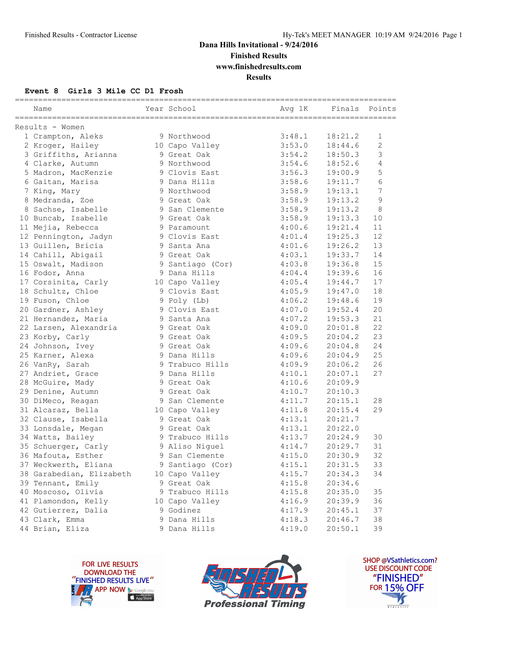**Finished Results**

**www.finishedresults.com**

**Results**

#### **Event 8 Girls 3 Mile CC D1 Frosh**

| Name                     | ----------------------<br>Year School | Avg 1K | Finals Points |                |
|--------------------------|---------------------------------------|--------|---------------|----------------|
| Results - Women          |                                       |        |               |                |
| 1 Crampton, Aleks        | 9 Northwood                           | 3:48.1 | 18:21.2       | $\mathbf{1}$   |
| 2 Kroger, Hailey         | 10 Capo Valley                        | 3:53.0 | 18:44.6       | $\overline{2}$ |
| 3 Griffiths, Arianna     | 9 Great Oak                           | 3:54.2 | 18:50.3       | 3              |
| 4 Clarke, Autumn         | 9 Northwood                           | 3:54.6 | 18:52.6       | 4              |
| 5 Madron, MacKenzie      | 9 Clovis East                         | 3:56.3 | 19:00.9       | 5              |
| 6 Gaitan, Marisa         | 9 Dana Hills                          | 3:58.6 | 19:11.7       | 6              |
| 7 King, Mary             | 9 Northwood                           | 3:58.9 | 19:13.1       | 7              |
| 8 Medranda, Zoe          | 9 Great Oak                           | 3:58.9 | 19:13.2       | 9              |
| 8 Sachse, Isabelle       | 9 San Clemente                        | 3:58.9 | 19:13.2       | 8              |
| 10 Buncab, Isabelle      | 9 Great Oak                           | 3:58.9 | 19:13.3       | 10             |
| 11 Mejia, Rebecca        | 9 Paramount                           | 4:00.6 | 19:21.4       | 11             |
| 12 Pennington, Jadyn     | 9 Clovis East                         | 4:01.4 | 19:25.3       | 12             |
| 13 Guillen, Bricia       | 9 Santa Ana                           | 4:01.6 | 19:26.2       | 13             |
| 14 Cahill, Abigail       | 9 Great Oak                           | 4:03.1 | 19:33.7       | 14             |
| 15 Oswalt, Madison       | 9 Santiago (Cor)                      | 4:03.8 | 19:36.8       | 15             |
| 16 Fodor, Anna           | 9 Dana Hills                          | 4:04.4 | 19:39.6       | 16             |
| 17 Corsinita, Carly      | 10 Capo Valley                        | 4:05.4 | 19:44.7       | 17             |
| 18 Schultz, Chloe        | 9 Clovis East                         | 4:05.9 | 19:47.0       | 18             |
| 19 Fuson, Chloe          | 9 Poly (Lb)                           | 4:06.2 | 19:48.6       | 19             |
| 20 Gardner, Ashley       | 9 Clovis East                         | 4:07.0 | 19:52.4       | 20             |
| 21 Hernandez, Maria      | 9 Santa Ana                           | 4:07.2 | 19:53.3       | 21             |
| 22 Larsen, Alexandria    | 9 Great Oak                           | 4:09.0 | 20:01.8       | 22             |
| 23 Korby, Carly          | 9 Great Oak                           | 4:09.5 | 20:04.2       | 23             |
| 24 Johnson, Ivey         | 9 Great Oak                           | 4:09.6 | 20:04.8       | 24             |
| 25 Karner, Alexa         | 9 Dana Hills                          | 4:09.6 | 20:04.9       | 25             |
| 26 VanRy, Sarah          | 9 Trabuco Hills                       | 4:09.9 | 20:06.2       | 26             |
| 27 Andriet, Grace        | 9 Dana Hills                          | 4:10.1 | 20:07.1       | 27             |
| 28 McGuire, Mady         | 9 Great Oak                           | 4:10.6 | 20:09.9       |                |
| 29 Denine, Autumn        | 9 Great Oak                           | 4:10.7 | 20:10.3       |                |
| 30 DiMeco, Reagan        | 9 San Clemente                        | 4:11.7 | 20:15.1       | 28             |
| 31 Alcaraz, Bella        | 10 Capo Valley                        | 4:11.8 | 20:15.4       | 29             |
| 32 Clause, Isabella      | 9 Great Oak                           | 4:13.1 | 20:21.7       |                |
| 33 Lonsdale, Megan       | 9 Great Oak                           | 4:13.1 | 20:22.0       |                |
| 34 Watts, Bailey         | 9 Trabuco Hills                       | 4:13.7 | 20:24.9       | 30             |
| 35 Schuerger, Carly      | 9 Aliso Niquel                        | 4:14.7 | 20:29.7       | 31             |
| 36 Mafouta, Esther       | 9 San Clemente                        | 4:15.0 | 20:30.9       | 32             |
| 37 Weckwerth, Eliana     | 9 Santiago (Cor)                      | 4:15.1 | 20:31.5       | 33             |
| 38 Garabedian, Elizabeth | 10 Capo Valley                        | 4:15.7 | 20:34.3       | 34             |
| 39 Tennant, Emily        | 9 Great Oak                           | 4:15.8 | 20:34.6       |                |
| 40 Moscoso, Olivia       | 9 Trabuco Hills                       | 4:15.8 | 20:35.0       | 35             |
| 41 Plamondon, Kelly      | 10 Capo Valley                        | 4:16.9 | 20:39.9       | 36             |
| 42 Gutierrez, Dalia      | 9 Godinez                             | 4:17.9 | 20:45.1       | 37             |
| 43 Clark, Emma           | 9 Dana Hills                          | 4:18.3 | 20:46.7       | 38             |
| 44 Brian, Eliza          | 9 Dana Hills                          | 4:19.0 | 20:50.1       | 39             |





SHOP @VSathletics.com? USE DISCOUNT CODE "FINISHED" **FOR 15% OFF**  $\blacktriangle$  $\frac{1}{1}$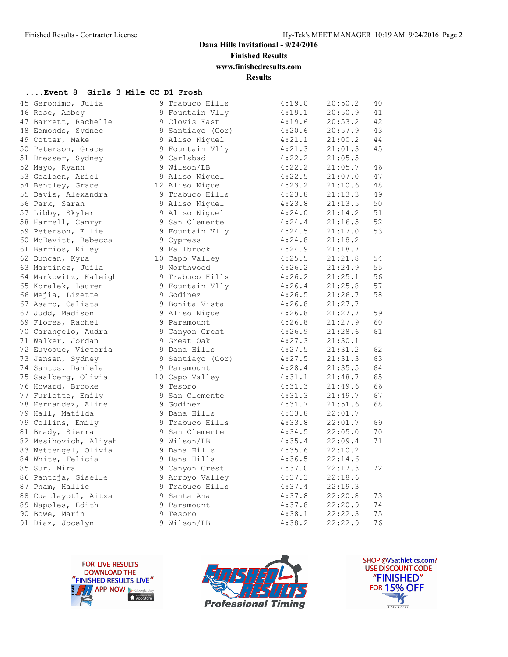**Finished Results**

**www.finishedresults.com**

**Results**

#### **....Event 8 Girls 3 Mile CC D1 Frosh**

| 45 Geronimo, Julia    | 9 Trabuco Hills  | 4:19.0 | 20:50.2 | 40 |
|-----------------------|------------------|--------|---------|----|
| 46 Rose, Abbey        | 9 Fountain Vlly  | 4:19.1 | 20:50.9 | 41 |
| 47 Barrett, Rachelle  | 9 Clovis East    | 4:19.6 | 20:53.2 | 42 |
| 48 Edmonds, Sydnee    | 9 Santiago (Cor) | 4:20.6 | 20:57.9 | 43 |
| 49 Cotter, Make       | 9 Aliso Niguel   | 4:21.1 | 21:00.2 | 44 |
| 50 Peterson, Grace    | 9 Fountain Vlly  | 4:21.3 | 21:01.3 | 45 |
| 51 Dresser, Sydney    | 9 Carlsbad       | 4:22.2 | 21:05.5 |    |
| 52 Mayo, Ryann        | 9 Wilson/LB      | 4:22.2 | 21:05.7 | 46 |
| 53 Goalden, Ariel     | 9 Aliso Niquel   | 4:22.5 | 21:07.0 | 47 |
| 54 Bentley, Grace     | 12 Aliso Niguel  | 4:23.2 | 21:10.6 | 48 |
| 55 Davis, Alexandra   | 9 Trabuco Hills  | 4:23.8 | 21:13.3 | 49 |
| 56 Park, Sarah        | 9 Aliso Niquel   | 4:23.8 | 21:13.5 | 50 |
| 57 Libby, Skyler      | 9 Aliso Niquel   | 4:24.0 | 21:14.2 | 51 |
| 58 Harrell, Camryn    | 9 San Clemente   | 4:24.4 | 21:16.5 | 52 |
| 59 Peterson, Ellie    | 9 Fountain Vlly  | 4:24.5 | 21:17.0 | 53 |
| 60 McDevitt, Rebecca  | 9 Cypress        | 4:24.8 | 21:18.2 |    |
| 61 Barrios, Riley     | 9 Fallbrook      | 4:24.9 | 21:18.7 |    |
| 62 Duncan, Kyra       | 10 Capo Valley   | 4:25.5 | 21:21.8 | 54 |
| 63 Martinez, Juila    | 9 Northwood      | 4:26.2 | 21:24.9 | 55 |
| 64 Markowitz, Kaleigh | 9 Trabuco Hills  | 4:26.2 | 21:25.1 | 56 |
| 65 Koralek, Lauren    | 9 Fountain Vlly  | 4:26.4 | 21:25.8 | 57 |
| 66 Mejia, Lizette     | 9 Godinez        | 4:26.5 | 21:26.7 | 58 |
| 67 Asaro, Calista     | 9 Bonita Vista   | 4:26.8 | 21:27.7 |    |
| 67 Judd, Madison      | 9 Aliso Niquel   | 4:26.8 | 21:27.7 | 59 |
| 69 Flores, Rachel     | 9 Paramount      | 4:26.8 | 21:27.9 | 60 |
| 70 Carangelo, Audra   | 9 Canyon Crest   | 4:26.9 | 21:28.6 | 61 |
| 71 Walker, Jordan     | 9 Great Oak      | 4:27.3 | 21:30.1 |    |
| 72 Euyoque, Victoria  | 9 Dana Hills     | 4:27.5 | 21:31.2 | 62 |
| 73 Jensen, Sydney     | 9 Santiago (Cor) | 4:27.5 | 21:31.3 | 63 |
| 74 Santos, Daniela    | 9 Paramount      | 4:28.4 | 21:35.5 | 64 |
| 75 Saalberg, Olivia   | 10 Capo Valley   | 4:31.1 | 21:48.7 | 65 |
| 76 Howard, Brooke     | 9 Tesoro         | 4:31.3 | 21:49.6 | 66 |
| 77 Furlotte, Emily    | 9 San Clemente   | 4:31.3 | 21:49.7 | 67 |
| 78 Hernandez, Aline   | 9 Godinez        | 4:31.7 | 21:51.6 | 68 |
| 79 Hall, Matilda      | 9 Dana Hills     | 4:33.8 | 22:01.7 |    |
| 79 Collins, Emily     | 9 Trabuco Hills  | 4:33.8 | 22:01.7 | 69 |
| 81 Brady, Sierra      | 9 San Clemente   | 4:34.5 | 22:05.0 | 70 |
| 82 Mesihovich, Aliyah | 9 Wilson/LB      | 4:35.4 | 22:09.4 | 71 |
| 83 Wettengel, Olivia  | 9 Dana Hills     | 4:35.6 | 22:10.2 |    |
| 84 White, Felicia     | 9 Dana Hills     | 4:36.5 | 22:14.6 |    |
| 85 Sur, Mira          | 9 Canyon Crest   | 4:37.0 | 22:17.3 | 72 |
| 86 Pantoja, Giselle   | 9 Arroyo Valley  | 4:37.3 | 22:18.6 |    |
| 87 Pham, Hallie       | 9 Trabuco Hills  | 4:37.4 | 22:19.3 |    |
| 88 Cuatlayotl, Aitza  | 9 Santa Ana      | 4:37.8 | 22:20.8 | 73 |
| 89 Napoles, Edith     | 9 Paramount      | 4:37.8 | 22:20.9 | 74 |
| 90 Bowe, Marin        | 9 Tesoro         | 4:38.1 | 22:22.3 | 75 |
| 91 Diaz, Jocelyn      | 9 Wilson/LB      | 4:38.2 | 22:22.9 | 76 |





SHOP @VSathletics.com? **USE DISCOUNT CODE** "FINISHED" **FOR 15% OFF** IS  $\frac{1}{1}$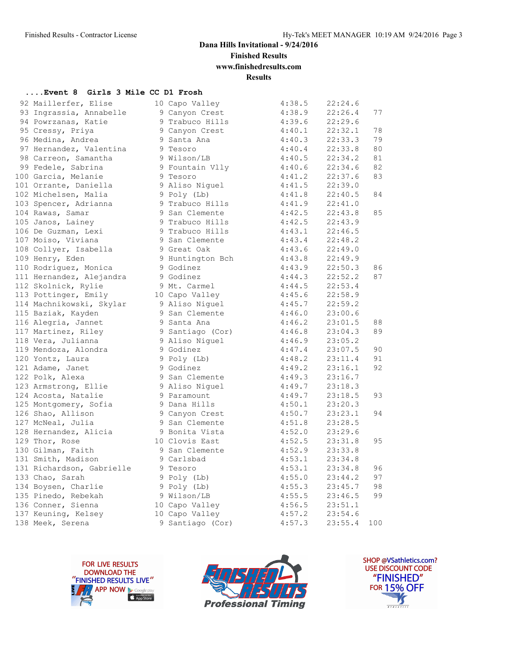**Finished Results**

**www.finishedresults.com**

**Results**

#### **....Event 8 Girls 3 Mile CC D1 Frosh**

| 92 Maillerfer, Elise      | 10 Capo Valley   | 4:38.5               | 22:24.6 |     |
|---------------------------|------------------|----------------------|---------|-----|
| 93 Ingrassia, Annabelle   | 9 Canyon Crest   | 4:38.9               | 22:26.4 | 77  |
| 94 Powrzanas, Katie       | 9 Trabuco Hills  | 4:39.6               | 22:29.6 |     |
| 95 Cressy, Priya          | 9 Canyon Crest   | 4:40.1               | 22:32.1 | 78  |
| 96 Medina, Andrea         | 9 Santa Ana      | 4:40.3               | 22:33.3 | 79  |
| 97 Hernandez, Valentina   | 9 Tesoro         | 4:40.4               | 22:33.8 | 80  |
| 98 Carreon, Samantha      | 9 Wilson/LB      | 4:40.5               | 22:34.2 | 81  |
| 99 Fedele, Sabrina        | 9 Fountain Vlly  | 4:40.6               | 22:34.6 | 82  |
| 100 Garcia, Melanie       | 9 Tesoro         | 4:41.2               | 22:37.6 | 83  |
| 101 Orrante, Daniella     | 9 Aliso Niguel   | 4:41.5               | 22:39.0 |     |
| 102 Michelsen, Malia      | 9 Poly (Lb)      | 4:41.8               | 22:40.5 | 84  |
| 103 Spencer, Adrianna     | 9 Trabuco Hills  |                      | 22:41.0 |     |
| 104 Rawas, Samar          | 9 San Clemente   | $4:41.9$<br>$4:42.5$ | 22:43.8 | 85  |
| 105 Janos, Lainey         | 9 Trabuco Hills  | 4:42.5               | 22:43.9 |     |
| 106 De Guzman, Lexi       | 9 Trabuco Hills  | 4:43.1               | 22:46.5 |     |
| 107 Moiso, Viviana        | 9 San Clemente   | 4:43.4               | 22:48.2 |     |
| 108 Collyer, Isabella     | 9 Great Oak      |                      | 22:49.0 |     |
| 109 Henry, Eden           | 9 Huntington Bch | $4:43.6$<br>$4:43.8$ | 22:49.9 |     |
| 110 Rodriquez, Monica     | 9 Godinez        | 4:43.9               | 22:50.3 | 86  |
| 111 Hernandez, Alejandra  | 9 Godinez        | 4:44.3               | 22:52.2 | 87  |
| 112 Skolnick, Rylie       | 9 Mt. Carmel     | 4:44.5               | 22:53.4 |     |
| 113 Pottinger, Emily      | 10 Capo Valley   | 4:45.6               | 22:58.9 |     |
| 114 Machnikowski, Skylar  | 9 Aliso Niguel   | 4:45.7               | 22:59.2 |     |
| 115 Baziak, Kayden        | 9 San Clemente   | 4:46.0               | 23:00.6 |     |
| 116 Alegria, Jannet       | 9 Santa Ana      | 4:46.2               | 23:01.5 | 88  |
| 117 Martinez, Riley       | 9 Santiago (Cor) | 4:46.8               | 23:04.3 | 89  |
| 118 Vera, Julianna        | 9 Aliso Niguel   | 4:46.9               | 23:05.2 |     |
| 119 Mendoza, Alondra      | 9 Godinez        | 4:47.4               | 23:07.5 | 90  |
| 120 Yontz, Laura          | 9 Poly (Lb)      | 4:48.2               | 23:11.4 | 91  |
| 121 Adame, Janet          | 9 Godinez        | 4:49.2               | 23:16.1 | 92  |
| 122 Polk, Alexa           | 9 San Clemente   | 4:49.3               | 23:16.7 |     |
| 123 Armstrong, Ellie      | 9 Aliso Niguel   | 4:49.7               | 23:18.3 |     |
| 124 Acosta, Natalie       | 9 Paramount      | 4:49.7               | 23:18.5 | 93  |
| 125 Montgomery, Sofia     | 9 Dana Hills     | 4:50.1               | 23:20.3 |     |
| 126 Shao, Allison         | 9 Canyon Crest   | 4:50.7               | 23:23.1 | 94  |
| 127 McNeal, Julia         | 9 San Clemente   | 4:51.8               | 23:28.5 |     |
| 128 Hernandez, Alicia     | 9 Bonita Vista   | 4:52.0               | 23:29.6 |     |
| 129 Thor, Rose            | 10 Clovis East   | 4:52.5               | 23:31.8 | 95  |
| 130 Gilman, Faith         | 9 San Clemente   | 4:52.9               | 23:33.8 |     |
| 131 Smith, Madison        | 9 Carlsbad       | 4:53.1               | 23:34.8 |     |
| 131 Richardson, Gabrielle | 9 Tesoro         | 4:53.1               | 23:34.8 | 96  |
| 133 Chao, Sarah           | 9 Poly (Lb)      | 4:55.0               | 23:44.2 | 97  |
| 134 Boysen, Charlie       | 9 Poly (Lb)      | 4:55.3               | 23:45.7 | 98  |
| 135 Pinedo, Rebekah       | 9 Wilson/LB      | 4:55.5               | 23:46.5 | 99  |
| 136 Conner, Sienna        | 10 Capo Valley   | $4:56.5$<br>$4:57.2$ | 23:51.1 |     |
| 137 Keuning, Kelsey       | 10 Capo Valley   |                      | 23:54.6 |     |
| 138 Meek, Serena          | 9 Santiago (Cor) | 4:57.3               | 23:55.4 | 100 |





SHOP @VSathletics.com? USE DISCOUNT CODE "FINISHED" **FOR 15% OFF**  $\frac{1}{\sqrt{2}}$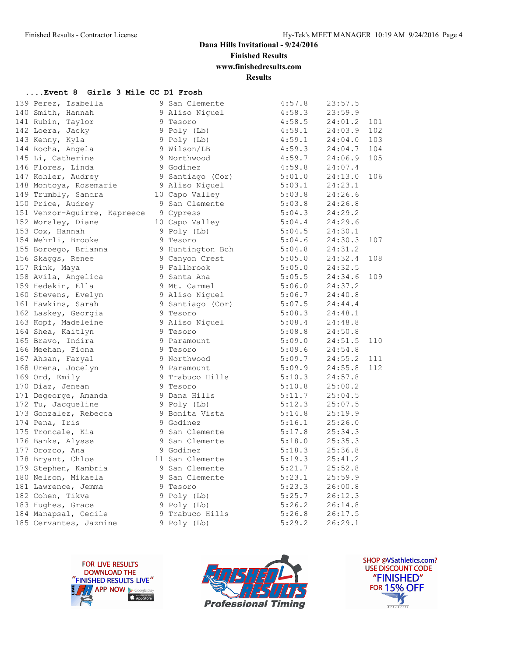**Finished Results**

**www.finishedresults.com**

**Results**

#### **....Event 8 Girls 3 Mile CC D1 Frosh**

| 139 Perez, Isabella                                                 | 9 San Clemente                                                   | 4:57.8                                           | 23:57.5     |     |
|---------------------------------------------------------------------|------------------------------------------------------------------|--------------------------------------------------|-------------|-----|
| 140 Smith, Hannah                                                   |                                                                  |                                                  |             |     |
| 141 Rubin, Taylor                                                   | 9 Aliso Niguel<br>9 Tesoro                                       | 4:58.3 23:59.9<br>4:58.5 24:01.2 101             |             |     |
| 142 Loera, Jacky                                                    | 9 Poly (Lb) 4:59.1 24:03.9 102                                   |                                                  |             |     |
| 143 Kenny, Kyla                                                     |                                                                  |                                                  |             |     |
| 143 Kenny, Kyla<br>144 Rocha, Angela                                | 9 Poly (Lb)<br>9 Wilson/LB                                       | $4:59.1$ $24:04.0$ 103<br>$4:59.3$ $24:04.7$ 104 |             |     |
|                                                                     |                                                                  |                                                  |             |     |
| 145 Li, Catherine<br>146 Flores, Linda                              | 9 Northwood 4:59.7 24:06.9 105<br>9 Godinez 4:59.8 24:07.4       |                                                  |             |     |
| 147 Kohler, Audrey                                                  | 9 Santiago (Cor) 5:01.0                                          |                                                  | 24:13.0     | 106 |
| 148 Montoya, Rosemarie                                              |                                                                  | 5:03.1                                           | 24:23.1     |     |
| 149 Trumbly, Sandra                                                 | 9 Aliso Niguel<br>10 Capo Valley                                 | $5:03.8$ $24:26.6$                               |             |     |
| 150 Price, Audrey                                                   | 9 San Clemente                                                   |                                                  |             |     |
| 151 Venzor-Aguirre, Kapreece 9 Cypress                              |                                                                  | 5:03.8 24:26.8<br>5:04.3 24:29.2                 |             |     |
| 152 Worsley, Diane                                                  | 10 Capo Valley 5:04.4                                            |                                                  | 24:29.6     |     |
| 153 Cox, Hannah                                                     | 9 Poly (Lb)<br>9 Tesoro                                          | 5:04.5                                           | 24:30.1     |     |
| 154 Wehrli, Brooke                                                  |                                                                  | 5:04.6 24:30.3 107                               |             |     |
| 194 nomes ,<br>155 Boroego, Brianna<br>156 Skaggs, Renee            | 9 Tesoro<br>9 Huntington Bch<br>9 Canyon Crest<br>9 Fallbrook    | $5:04.8$ $24:31.2$<br>$5:05.0$ $24:32.4$ 108     |             |     |
|                                                                     |                                                                  |                                                  |             |     |
| 157 Rink, Maya                                                      |                                                                  | 5:05.0                                           | 24:32.5     |     |
| 158 Avila, Angelica<br>159 Hedekin, Ella                            | 9 Santa Ana                                                      | 5:05.5                                           | 24:34.6 109 |     |
|                                                                     | 9 Mt. Carmel 5:06.0 24:37.2                                      |                                                  |             |     |
| 160 Stevens, Evelyn<br>161 Hawkins, Sarah                           | 9 Aliso Niguel 5:06.7 24:40.8<br>9 Santiago (Cor) 5:07.5 24:44.4 |                                                  |             |     |
|                                                                     |                                                                  |                                                  |             |     |
| ---<br>162 Laskey, Georgia                                          | y <sub>pan.</sub><br>9 Tesoro<br>9 Aliso Niguel<br>^ masoro      | 5:08.3                                           | 24:48.1     |     |
| 163 Kopf, Madeleine<br>164 Shea, Kaitlyn                            |                                                                  | 5:08.4                                           | 24:48.8     |     |
|                                                                     |                                                                  | $5:08.8$ $24:50.8$                               |             |     |
| 165 Bravo, Indira<br>166 Meehan, Fiona                              | 9 Paramount 5:09.0 24:51.5 110<br>9 Tesoro 5:09.6 24:54.8        |                                                  |             |     |
|                                                                     | 9 Tesoro                                                         |                                                  |             |     |
| 167 Ahsan, Faryal<br>167 Ahsan, Idi,<br>168 Urena, Jocelyn<br>Trily | 9 Northwood                                                      | 5:09.7 24:55.2 111<br>5:09.9 24:55.8 112         |             |     |
|                                                                     | 9 Paramount                                                      |                                                  |             |     |
|                                                                     | 9 Trabuco Hills 5:10.3                                           |                                                  | 24:57.8     |     |
| 170 Diaz, Jenean                                                    | 9 Tesoro                                                         | 5:10.8                                           | 25:00.2     |     |
| 171 Degeorge, Amanda (1988) 9 Dana Hills (1988) 5:11.7 (25:04.5     |                                                                  |                                                  |             |     |
| 172 Tu, Jacqueline                                                  | 9 Poly (Lb)                                                      | $5:12.3$ $25:07.5$<br>$5:14.8$ $25:19.9$         |             |     |
| 173 Gonzalez, Rebecca                                               | 9 Bonita Vista                                                   |                                                  |             |     |
| 174 Pena, Iris                                                      | 9 Godinez                                                        | 5:16.1                                           | 25:26.0     |     |
| 175 Troncale, Kia                                                   | 9 San Clemente                                                   | 5:17.8                                           | 25:34.3     |     |
| 176 Banks, Alysse                                                   | 9 San Clemente 5:18.0 25:35.3                                    |                                                  |             |     |
| 177 Orozco, Ana<br>178 Bryant, Chloe                                | 9 Godinez                                                        | 5:18.3 25:36.8<br>5:19.3 25:41.2                 |             |     |
|                                                                     | 11 San Clemente                                                  |                                                  |             |     |
| 179 Stephen, Kambria (1988) 9 San Clemente                          |                                                                  | 5:21.7                                           | 25:52.8     |     |
| 180 Nelson, Mikaela                                                 | 9 San Clemente                                                   | 5:23.1                                           | 25:59.9     |     |
| 181 Lawrence, Jemma                                                 | 9 Tesoro                                                         | $5:23.3$ $26:00.8$                               |             |     |
| 182 Cohen, Tikva<br>183 Hughes, Grace                               | 9 Poly (Lb)<br>9 Poly (Lb)                                       | 5:25.7 26:12.3<br>5:26.2 26:14.8                 |             |     |
|                                                                     |                                                                  |                                                  |             |     |
|                                                                     |                                                                  |                                                  |             |     |
|                                                                     |                                                                  |                                                  |             |     |





SHOP @VSathletics.com? USE DISCOUNT CODE "FINISHED" **FOR 15% OFF**  $\frac{1}{\sqrt{2}}$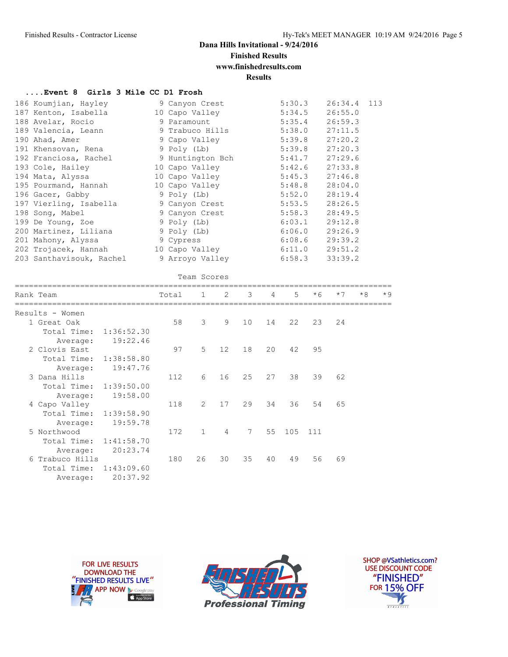# **Finished Results**

**www.finishedresults.com**

**Results**

#### **....Event 8 Girls 3 Mile CC D1 Frosh**

| 186 Koumjian, Hayley     | 9 Canyon Crest   | 5:30.3             | 26:34.4<br>113 |
|--------------------------|------------------|--------------------|----------------|
| 187 Kenton, Isabella     | 10 Capo Valley   | 5:34.5             | 26:55.0        |
| 188 Avelar, Rocio        | 9 Paramount      | 5:35.4             | 26:59.3        |
| 189 Valencia, Leann      | 9 Trabuco Hills  | $5:38.0$ $27:11.5$ |                |
| 190 Ahad, Amer           | 9 Capo Valley    | 5:39.8             | 27:20.2        |
| 191 Khensovan, Rena      | 9 Poly (Lb)      | $5:39.8$ $27:20.3$ |                |
| 192 Franciosa, Rachel    | 9 Huntington Bch | $5:41.7$ 27:29.6   |                |
| 193 Cole, Hailey         | 10 Capo Valley   | 5:42.6             | 27:33.8        |
| 194 Mata, Alyssa         | 10 Capo Valley   | $5:45.3$ $27:46.8$ |                |
| 195 Pourmand, Hannah     | 10 Capo Valley   | 5:48.8             | 28:04.0        |
| 196 Gacer, Gabby         | 9 Poly (Lb)      | 5:52.0             | 28:19.4        |
| 197 Vierling, Isabella   | 9 Canyon Crest   | 5:53.5             | 28:26.5        |
| 198 Song, Mabel          | 9 Canyon Crest   | 5:58.3             | 28:49.5        |
| 199 De Young, Zoe        | 9 Poly (Lb)      | 6:03.1             | 29:12.8        |
| 200 Martinez, Liliana    | 9 Poly (Lb)      | $6:06.0$ 29:26.9   |                |
| 201 Mahony, Alyssa       | 9 Cypress        | $6:08.6$ 29:39.2   |                |
| 202 Trojacek, Hannah     | 10 Capo Valley   | $6:11.0$ 29:51.2   |                |
| 203 Santhavisouk, Rachel | 9 Arroyo Valley  | 6:58.3             | 33:39.2        |
|                          |                  |                    |                |

| Team Scores     |          |                                                                                                          |                |                   |                 |                |             |      |      |      |      |
|-----------------|----------|----------------------------------------------------------------------------------------------------------|----------------|-------------------|-----------------|----------------|-------------|------|------|------|------|
| Rank Team       |          | Total                                                                                                    | $\overline{1}$ | $\mathbf{2}$      | 3               | $\overline{4}$ | $5^{\circ}$ | $*6$ | $*7$ | $*8$ | $*9$ |
| Results - Women |          |                                                                                                          |                |                   |                 |                |             |      |      |      |      |
| 1 Great Oak     |          | 58                                                                                                       | 3              | 9                 | 10              | 14             | 22          | 23   | 24   |      |      |
| Total Time:     |          |                                                                                                          |                |                   |                 |                |             |      |      |      |      |
| Average:        | 19:22.46 |                                                                                                          |                |                   |                 |                |             |      |      |      |      |
| 2 Clovis East   |          | 97                                                                                                       | 5              | $12 \overline{ }$ | 18              | 20             | 42          | 95   |      |      |      |
| Total Time:     |          |                                                                                                          |                |                   |                 |                |             |      |      |      |      |
| Average:        | 19:47.76 |                                                                                                          |                |                   |                 |                |             |      |      |      |      |
| 3 Dana Hills    |          | 112                                                                                                      | 6              | 16                | 25              | 27             | 38          | 39   | 62   |      |      |
| Total Time:     |          |                                                                                                          |                |                   |                 |                |             |      |      |      |      |
| Average:        | 19:58.00 |                                                                                                          |                |                   |                 |                |             |      |      |      |      |
| 4 Capo Valley   |          | 118                                                                                                      | $\mathcal{L}$  | 17                | 29              | 34             | 36          | 54   | 65   |      |      |
|                 |          |                                                                                                          |                |                   |                 |                |             |      |      |      |      |
| Average:        | 19:59.78 |                                                                                                          |                |                   |                 |                |             |      |      |      |      |
| 5 Northwood     |          | 172                                                                                                      | $\mathbf{1}$   | $\overline{4}$    | $7\phantom{.0}$ | 55             | 105         | 111  |      |      |      |
|                 |          |                                                                                                          |                |                   |                 |                |             |      |      |      |      |
| Average:        | 20:23.74 |                                                                                                          |                |                   |                 |                |             |      |      |      |      |
| 6 Trabuco Hills |          | 180                                                                                                      | 26             | 30                | 35              | 40             | 49          | 56   | 69   |      |      |
| Total Time:     |          |                                                                                                          |                |                   |                 |                |             |      |      |      |      |
| Average:        | 20:37.92 |                                                                                                          |                |                   |                 |                |             |      |      |      |      |
|                 |          | 1:36:52.30<br>1:38:58.80<br>1:39:50.00<br>Total Time: 1:39:58.90<br>Total Time: 1:41:58.70<br>1:43:09.60 |                |                   |                 |                |             |      |      |      |      |





SHOP @VSathletics.com? USE DISCOUNT CODE "FINISHED" **FOR 15% OFF** IS  $\frac{1}{\sqrt{181411111}}$